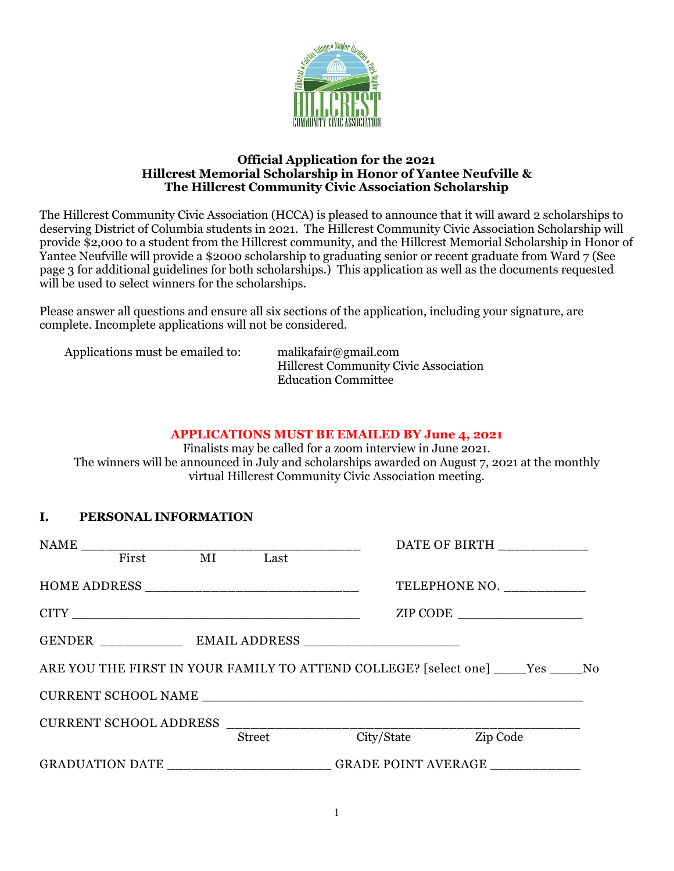

#### **Official Application for the 2021 Hillcrest Memorial Scholarship in Honor of Yantee Neufville & The Hillcrest Community Civic Association Scholarship**

The Hillcrest Community Civic Association (HCCA) is pleased to announce that it will award 2 scholarships to deserving District of Columbia students in 2021. The Hillcrest Community Civic Association Scholarship will provide \$2,000 to a student from the Hillcrest community, and the Hillcrest Memorial Scholarship in Honor of Yantee Neufville will provide a \$2000 scholarship to graduating senior or recent graduate from Ward 7 (See page 3 for additional guidelines for both scholarships.) This application as well as the documents requested will be used to select winners for the scholarships.

Please answer all questions and ensure all six sections of the application, including your signature, are complete. Incomplete applications will not be considered.

| Applications must be emailed to: | malikafair@gmail.com                         |
|----------------------------------|----------------------------------------------|
|                                  | <b>Hillcrest Community Civic Association</b> |
|                                  | <b>Education Committee</b>                   |

#### **APPLICATIONS MUST BE EMAILED BY June 4, 2021**

Finalists may be called for a zoom interview in June 2021. The winners will be announced in July and scholarships awarded on August 7, 2021 at the monthly virtual Hillcrest Community Civic Association meeting.

### **I. PERSONAL INFORMATION**

|               | <u> 1960 - Johann John Stone, markin</u> |            | DATE OF BIRTH ____________                                                          |  |  |
|---------------|------------------------------------------|------------|-------------------------------------------------------------------------------------|--|--|
| First MI Last |                                          |            |                                                                                     |  |  |
|               |                                          |            | TELEPHONE NO. __________                                                            |  |  |
|               |                                          |            | ZIP CODE                                                                            |  |  |
|               |                                          |            |                                                                                     |  |  |
|               |                                          |            | ARE YOU THE FIRST IN YOUR FAMILY TO ATTEND COLLEGE? [select one] _____ Yes _____ No |  |  |
|               |                                          |            |                                                                                     |  |  |
|               | CURRENT SCHOOL ADDRESS ________________  |            |                                                                                     |  |  |
|               | Street                                   | City/State | Zip Code                                                                            |  |  |
|               | GRADUATION DATE GRADE POINT AVERAGE      |            |                                                                                     |  |  |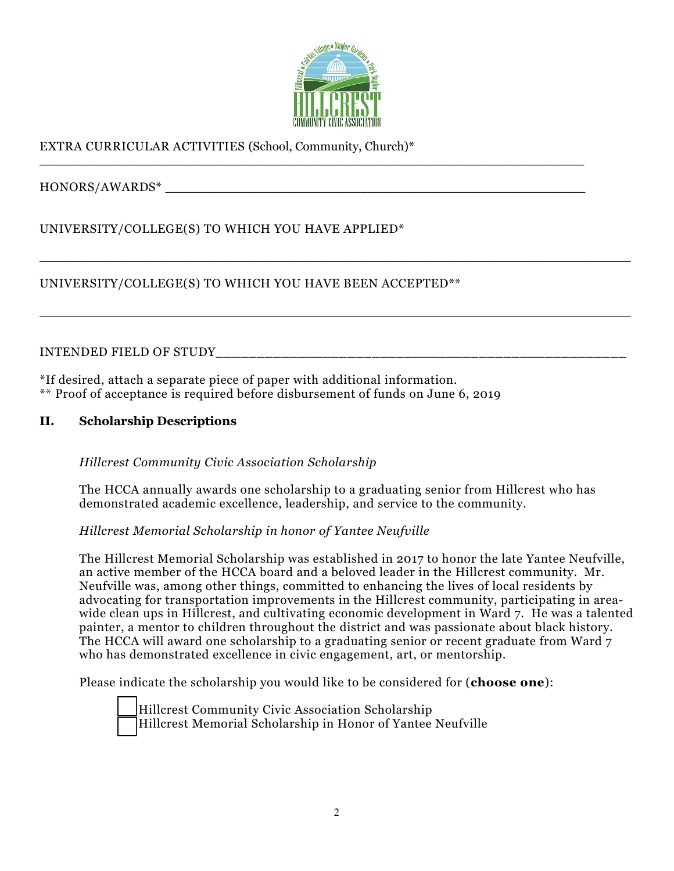

\_\_\_\_\_\_\_\_\_\_\_\_\_\_\_\_\_\_\_\_\_\_\_\_\_\_\_\_\_\_\_\_\_\_\_\_\_\_\_\_\_\_\_\_\_\_\_\_\_\_\_\_\_\_\_\_\_\_\_\_\_\_\_\_\_\_\_\_\_\_\_\_\_\_\_\_

\_\_\_\_\_\_\_\_\_\_\_\_\_\_\_\_\_\_\_\_\_\_\_\_\_\_\_\_\_\_\_\_\_\_\_\_\_\_\_\_\_\_\_\_\_\_\_\_\_\_\_\_\_\_\_\_\_\_\_\_\_\_\_\_\_\_\_\_\_\_\_\_\_\_\_\_

\_\_\_\_\_\_\_\_\_\_\_\_\_\_\_\_\_\_\_\_\_\_\_\_\_\_\_\_\_\_\_\_\_\_\_\_\_\_\_\_\_\_\_\_\_\_\_\_\_\_\_\_\_\_\_\_\_\_\_\_\_\_\_\_\_\_\_\_\_\_

# EXTRA CURRICULAR ACTIVITIES (School, Community, Church)\*

HONORS/AWARDS\* \_\_\_\_\_\_\_\_\_\_\_\_\_\_\_\_\_\_\_\_\_\_\_\_\_\_\_\_\_\_\_\_\_\_\_\_\_\_\_\_\_\_\_\_\_\_\_\_\_\_\_\_\_\_

UNIVERSITY/COLLEGE(S) TO WHICH YOU HAVE APPLIED\*

UNIVERSITY/COLLEGE(S) TO WHICH YOU HAVE BEEN ACCEPTED\*\*

INTENDED FIELD OF STUDY\_\_\_\_\_\_\_\_\_\_\_\_\_\_\_\_\_\_\_\_\_\_\_\_\_\_\_\_\_\_\_\_\_\_\_\_\_\_\_\_\_\_\_\_\_\_\_\_\_\_

\*If desired, attach a separate piece of paper with additional information. \*\* Proof of acceptance is required before disbursement of funds on June 6, 2019

### **II. Scholarship Descriptions**

*Hillcrest Community Civic Association Scholarship*

The HCCA annually awards one scholarship to a graduating senior from Hillcrest who has demonstrated academic excellence, leadership, and service to the community.

*Hillcrest Memorial Scholarship in honor of Yantee Neufville*

The Hillcrest Memorial Scholarship was established in 2017 to honor the late Yantee Neufville, an active member of the HCCA board and a beloved leader in the Hillcrest community. Mr. Neufville was, among other things, committed to enhancing the lives of local residents by advocating for transportation improvements in the Hillcrest community, participating in areawide clean ups in Hillcrest, and cultivating economic development in Ward 7. He was a talented painter, a mentor to children throughout the district and was passionate about black history. The HCCA will award one scholarship to a graduating senior or recent graduate from Ward 7 who has demonstrated excellence in civic engagement, art, or mentorship.

Please indicate the scholarship you would like to be considered for (**choose one**):



\_\_ Hillcrest Community Civic Association Scholarship Hillcrest Memorial Scholarship in Honor of Yantee Neufville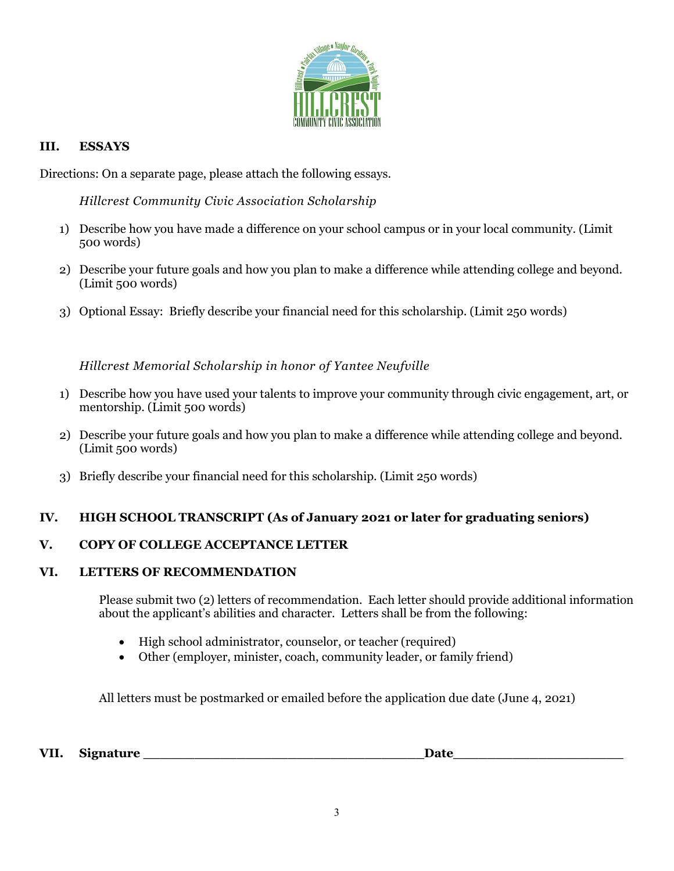

### **III. ESSAYS**

Directions: On a separate page, please attach the following essays.

*Hillcrest Community Civic Association Scholarship*

- 1) Describe how you have made a difference on your school campus or in your local community. (Limit 500 words)
- 2) Describe your future goals and how you plan to make a difference while attending college and beyond. (Limit 500 words)
- 3) Optional Essay: Briefly describe your financial need for this scholarship. (Limit 250 words)

*Hillcrest Memorial Scholarship in honor of Yantee Neufville*

- 1) Describe how you have used your talents to improve your community through civic engagement, art, or mentorship. (Limit 500 words)
- 2) Describe your future goals and how you plan to make a difference while attending college and beyond. (Limit 500 words)
- 3) Briefly describe your financial need for this scholarship. (Limit 250 words)

# **IV. HIGH SCHOOL TRANSCRIPT (As of January 2021 or later for graduating seniors)**

# **V. COPY OF COLLEGE ACCEPTANCE LETTER**

### **VI. LETTERS OF RECOMMENDATION**

Please submit two (2) letters of recommendation. Each letter should provide additional information about the applicant's abilities and character. Letters shall be from the following:

- High school administrator, counselor, or teacher (required)
- Other (employer, minister, coach, community leader, or family friend)

All letters must be postmarked or emailed before the application due date (June 4, 2021)

VII. Signature **Date**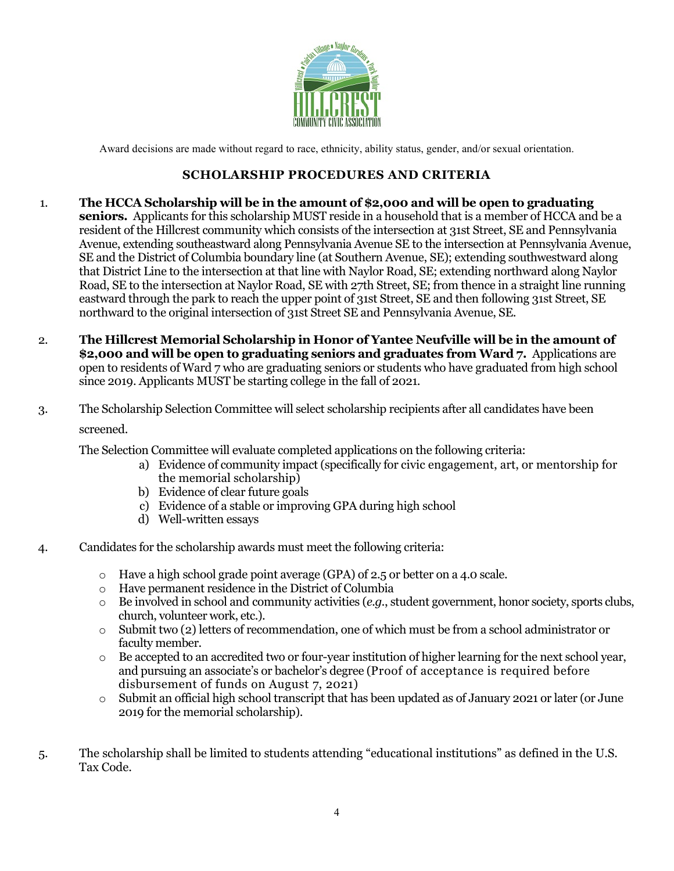

Award decisions are made without regard to race, ethnicity, ability status, gender, and/or sexual orientation.

## **SCHOLARSHIP PROCEDURES AND CRITERIA**

- 1. **The HCCA Scholarship will be in the amount of \$2,000 and will be open to graduating seniors.** Applicants for this scholarship MUST reside in a household that is a member of HCCA and be a resident of the Hillcrest community which consists of the intersection at 31st Street, SE and Pennsylvania Avenue, extending southeastward along Pennsylvania Avenue SE to the intersection at Pennsylvania Avenue, SE and the District of Columbia boundary line (at Southern Avenue, SE); extending southwestward along that District Line to the intersection at that line with Naylor Road, SE; extending northward along Naylor Road, SE to the intersection at Naylor Road, SE with 27th Street, SE; from thence in a straight line running eastward through the park to reach the upper point of 31st Street, SE and then following 31st Street, SE northward to the original intersection of 31st Street SE and Pennsylvania Avenue, SE.
- 2. **The Hillcrest Memorial Scholarship in Honor of Yantee Neufville will be in the amount of \$2,000 and will be open to graduating seniors and graduates from Ward 7.** Applications are open to residents of Ward 7 who are graduating seniors or students who have graduated from high school since 2019. Applicants MUST be starting college in the fall of 2021.
- 3. The Scholarship Selection Committee will select scholarship recipients after all candidates have been screened.

The Selection Committee will evaluate completed applications on the following criteria:

- a) Evidence of community impact (specifically for civic engagement, art, or mentorship for the memorial scholarship)
- b) Evidence of clear future goals
- c) Evidence of a stable or improving GPA during high school
- d) Well-written essays
- 4. Candidates for the scholarship awards must meet the following criteria:
	- o Have a high school grade point average (GPA) of 2.5 or better on a 4.0 scale.
	- o Have permanent residence in the District of Columbia
	- o Be involved in school and community activities (*e.g.*, student government, honor society, sports clubs, church, volunteer work, etc.).
	- o Submit two (2) letters of recommendation, one of which must be from a school administrator or faculty member.
	- $\circ$  Be accepted to an accredited two or four-year institution of higher learning for the next school year, and pursuing an associate's or bachelor's degree (Proof of acceptance is required before disbursement of funds on August 7, 2021)
	- o Submit an official high school transcript that has been updated as of January 2021 or later (or June 2019 for the memorial scholarship).
- 5. The scholarship shall be limited to students attending "educational institutions" as defined in the U.S. Tax Code.